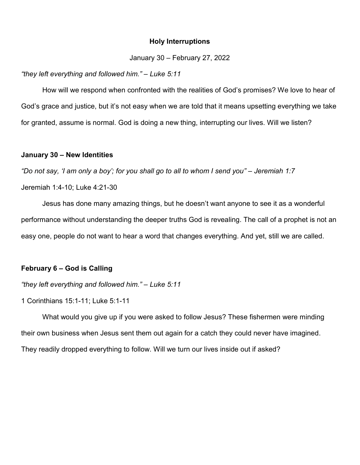#### Holy Interruptions

January 30 – February 27, 2022

#### "they left everything and followed him." – Luke 5:11

How will we respond when confronted with the realities of God's promises? We love to hear of God's grace and justice, but it's not easy when we are told that it means upsetting everything we take for granted, assume is normal. God is doing a new thing, interrupting our lives. Will we listen?

## January 30 – New Identities

"Do not say, 'I am only a boy'; for you shall go to all to whom I send you" – Jeremiah 1:7 Jeremiah 1:4-10; Luke 4:21-30

 Jesus has done many amazing things, but he doesn't want anyone to see it as a wonderful performance without understanding the deeper truths God is revealing. The call of a prophet is not an easy one, people do not want to hear a word that changes everything. And yet, still we are called.

# February 6 – God is Calling

"they left everything and followed him." – Luke 5:11

1 Corinthians 15:1-11; Luke 5:1-11

 What would you give up if you were asked to follow Jesus? These fishermen were minding their own business when Jesus sent them out again for a catch they could never have imagined. They readily dropped everything to follow. Will we turn our lives inside out if asked?